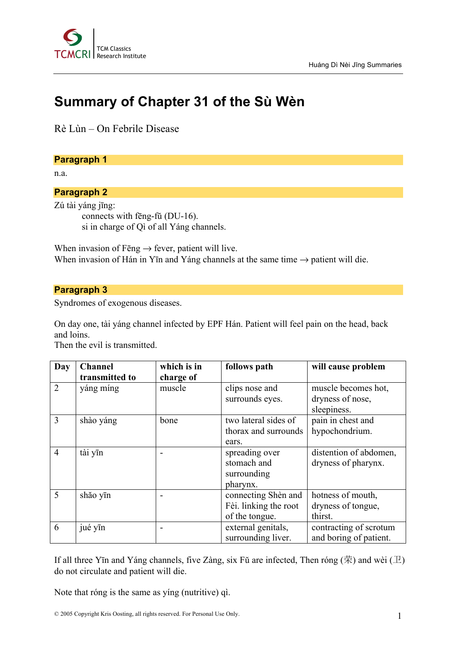

# **Summary of Chapter 31 of the Sù Wèn**

Rè Lùn – On Febrile Disease

#### **Paragraph 1**

n.a.

# **Paragraph 2**

Zú tài yáng jīng: connects with fēng-fŭ (DU-16). si in charge of Qì of all Yáng channels.

When invasion of Fēng  $\rightarrow$  fever, patient will live. When invasion of Hán in Yīn and Yáng channels at the same time  $\rightarrow$  patient will die.

## **Paragraph 3**

Syndromes of exogenous diseases.

On day one, tài yáng channel infected by EPF Hán. Patient will feel pain on the head, back and loins.

Then the evil is transmitted.

| Day            | <b>Channel</b> | which is in | follows path          | will cause problem     |
|----------------|----------------|-------------|-----------------------|------------------------|
|                | transmitted to | charge of   |                       |                        |
| $\overline{2}$ | yáng míng      | muscle      | clips nose and        | muscle becomes hot,    |
|                |                |             | surrounds eyes.       | dryness of nose,       |
|                |                |             |                       | sleepiness.            |
| $\overline{3}$ | shào yáng      | bone        | two lateral sides of  | pain in chest and      |
|                |                |             | thorax and surrounds  | hypochondrium.         |
|                |                |             | ears.                 |                        |
| $\overline{4}$ | tài yīn        |             | spreading over        | distention of abdomen, |
|                |                |             | stomach and           | dryness of pharynx.    |
|                |                |             | surrounding           |                        |
|                |                |             | pharynx.              |                        |
| 5              | shăo yīn       |             | connecting Shèn and   | hotness of mouth,      |
|                |                |             | Fèi. linking the root | dryness of tongue,     |
|                |                |             | of the tongue.        | thirst.                |
| 6              | jué yīn        |             | external genitals,    | contracting of scrotum |
|                |                |             | surrounding liver.    | and boring of patient. |

If all three Yīn and Yáng channels, five Zàng, six Fŭ are infected, Then róng  $(\ddot{\mathcal{R}})$  and wèi  $(\mathcal{I})$ do not circulate and patient will die.

Note that róng is the same as yíng (nutritive) qì.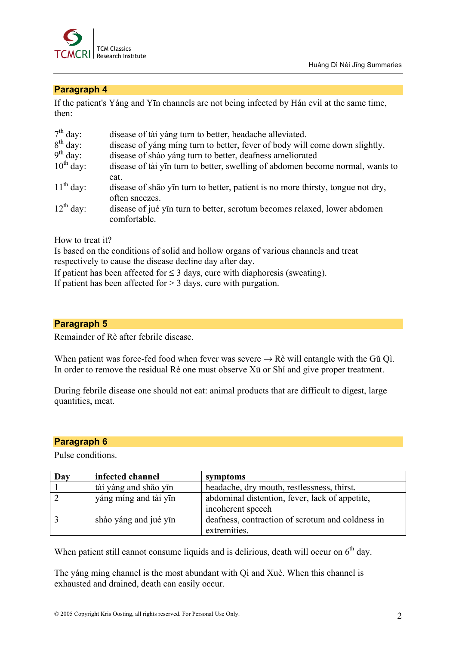

## **Paragraph 4**

If the patient's Yáng and Yīn channels are not being infected by Hán evil at the same time, then:

| $7th$ day:     | disease of tài yáng turn to better, headache alleviated.                        |
|----------------|---------------------------------------------------------------------------------|
| $8th$ day:     | disease of yang ming turn to better, fever of body will come down slightly.     |
| $9th$ day:     | disease of shào yáng turn to better, deafness ameliorated                       |
| $10^{th}$ day: | disease of tài yīn turn to better, swelling of abdomen become normal, wants to  |
|                | eat.                                                                            |
| $11th$ day:    | disease of shão yīn turn to better, patient is no more thirsty, tongue not dry, |
|                | often sneezes.                                                                  |
| $12^{th}$ day: | disease of jué yīn turn to better, scrotum becomes relaxed, lower abdomen       |
|                | comfortable.                                                                    |

How to treat it?

Is based on the conditions of solid and hollow organs of various channels and treat respectively to cause the disease decline day after day.

If patient has been affected for  $\leq$  3 days, cure with diaphoresis (sweating).

If patient has been affected for  $> 3$  days, cure with purgation.

## **Paragraph 5**

Remainder of Rè after febrile disease.

When patient was force-fed food when fever was severe  $\rightarrow$  Rè will entangle with the Gŭ Qì. In order to remove the residual Rè one must observe Xū or Shí and give proper treatment.

During febrile disease one should not eat: animal products that are difficult to digest, large quantities, meat.

#### **Paragraph 6**

Pulse conditions.

| Day | infected channel      | symptoms                                                            |
|-----|-----------------------|---------------------------------------------------------------------|
|     | tài yáng and shão yīn | headache, dry mouth, restlessness, thirst.                          |
|     | yáng míng and tài yīn | abdominal distention, fever, lack of appetite,<br>incoherent speech |
|     | shào yáng and jué yīn | deafness, contraction of scrotum and coldness in<br>extremities.    |

When patient still cannot consume liquids and is delirious, death will occur on  $6<sup>th</sup>$  day.

The yáng míng channel is the most abundant with Qì and Xuè. When this channel is exhausted and drained, death can easily occur.